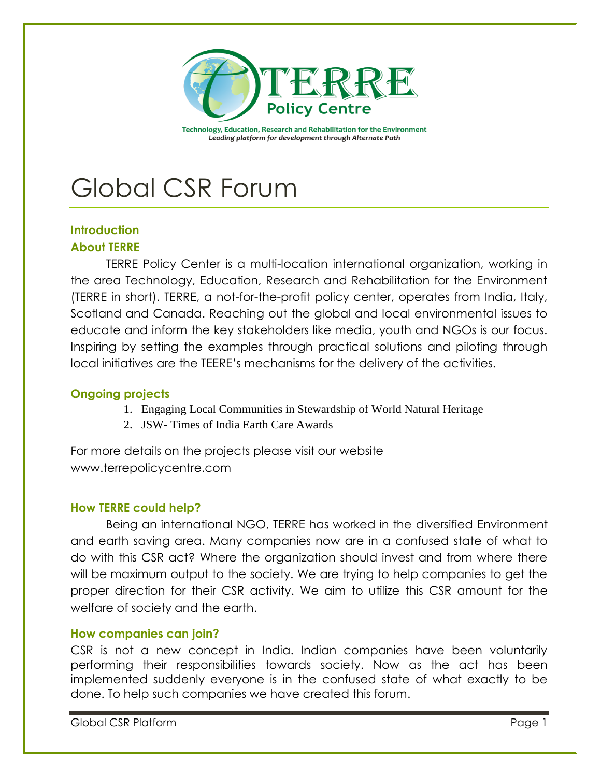

Technology, Education, Research and Rehabilitation for the Environment Leading platform for development through Alternate Path

# Global CSR Forum

# **Introduction About TERRE**

TERRE Policy Center is a multi-location international organization, working in the area Technology, Education, Research and Rehabilitation for the Environment (TERRE in short). TERRE, a not-for-the-profit policy center, operates from India, Italy, Scotland and Canada. Reaching out the global and local environmental issues to educate and inform the key stakeholders like media, youth and NGOs is our focus. Inspiring by setting the examples through practical solutions and piloting through local initiatives are the TEERE's mechanisms for the delivery of the activities.

# **Ongoing projects**

- 1. Engaging Local Communities in Stewardship of World Natural Heritage
- 2. JSW- Times of India Earth Care Awards

For more details on the projects please visit our website www.terrepolicycentre.com

# **How TERRE could help?**

Being an international NGO, TERRE has worked in the diversified Environment and earth saving area. Many companies now are in a confused state of what to do with this CSR act? Where the organization should invest and from where there will be maximum output to the society. We are trying to help companies to get the proper direction for their CSR activity. We aim to utilize this CSR amount for the welfare of society and the earth.

# **How companies can join?**

CSR is not a new concept in India. Indian companies have been voluntarily performing their responsibilities towards society. Now as the act has been implemented suddenly everyone is in the confused state of what exactly to be done. To help such companies we have created this forum.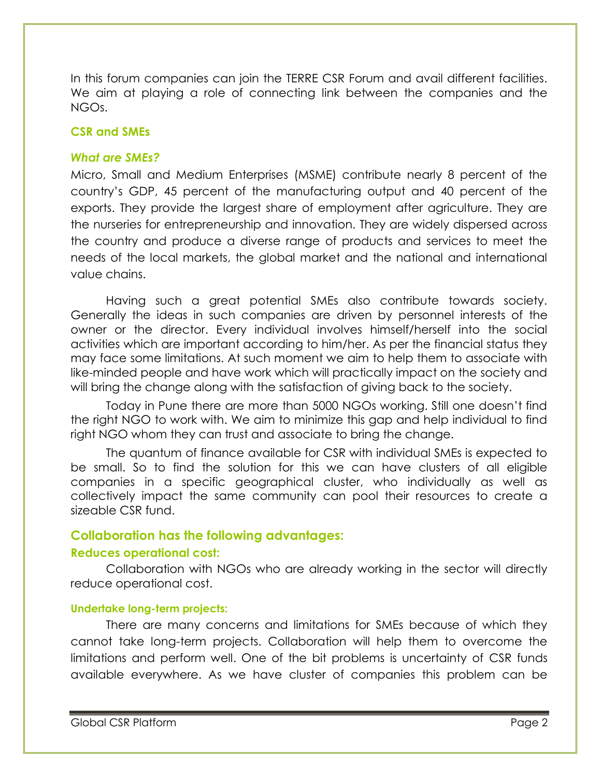In this forum companies can join the TERRE CSR Forum and avail different facilities. We aim at playing a role of connecting link between the companies and the NGOs.

# **CSR and SMEs**

# *What are SMEs?*

Micro, Small and Medium Enterprises (MSME) contribute nearly 8 percent of the country's GDP, 45 percent of the manufacturing output and 40 percent of the exports. They provide the largest share of employment after agriculture. They are the nurseries for entrepreneurship and innovation. They are widely dispersed across the country and produce a diverse range of products and services to meet the needs of the local markets, the global market and the national and international value chains.

Having such a great potential SMEs also contribute towards society. Generally the ideas in such companies are driven by personnel interests of the owner or the director. Every individual involves himself/herself into the social activities which are important according to him/her. As per the financial status they may face some limitations. At such moment we aim to help them to associate with like-minded people and have work which will practically impact on the society and will bring the change along with the satisfaction of giving back to the society.

Today in Pune there are more than 5000 NGOs working. Still one doesn't find the right NGO to work with. We aim to minimize this gap and help individual to find right NGO whom they can trust and associate to bring the change.

The quantum of finance available for CSR with individual SMEs is expected to be small. So to find the solution for this we can have clusters of all eligible companies in a specific geographical cluster, who individually as well as collectively impact the same community can pool their resources to create a sizeable CSR fund.

# **Collaboration has the following advantages:**

# **Reduces operational cost:**

Collaboration with NGOs who are already working in the sector will directly reduce operational cost.

# **Undertake long-term projects:**

There are many concerns and limitations for SMEs because of which they cannot take long-term projects. Collaboration will help them to overcome the limitations and perform well. One of the bit problems is uncertainty of CSR funds available everywhere. As we have cluster of companies this problem can be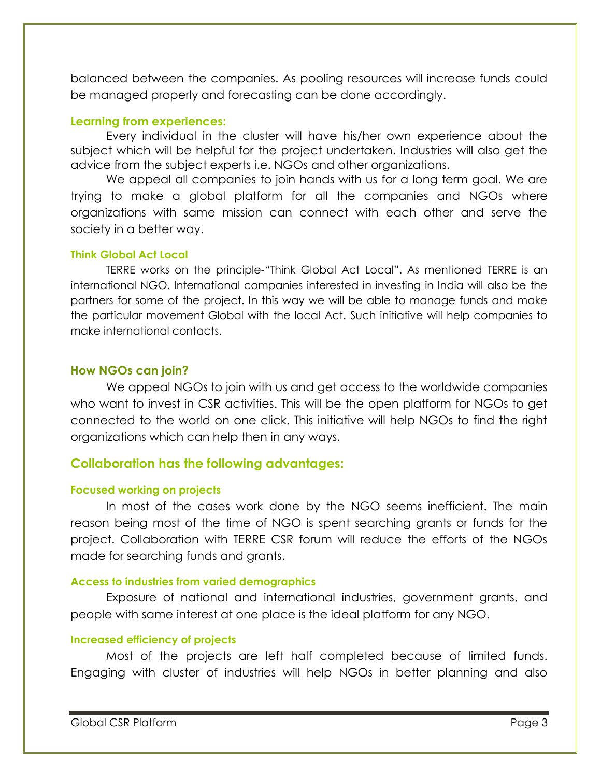balanced between the companies. As pooling resources will increase funds could be managed properly and forecasting can be done accordingly.

### **Learning from experiences:**

Every individual in the cluster will have his/her own experience about the subject which will be helpful for the project undertaken. Industries will also get the advice from the subject experts i.e. NGOs and other organizations.

We appeal all companies to join hands with us for a long term goal. We are trying to make a global platform for all the companies and NGOs where organizations with same mission can connect with each other and serve the society in a better way.

#### **Think Global Act Local**

TERRE works on the principle-"Think Global Act Local". As mentioned TERRE is an international NGO. International companies interested in investing in India will also be the partners for some of the project. In this way we will be able to manage funds and make the particular movement Global with the local Act. Such initiative will help companies to make international contacts.

#### **How NGOs can join?**

We appeal NGOs to join with us and get access to the worldwide companies who want to invest in CSR activities. This will be the open platform for NGOs to get connected to the world on one click. This initiative will help NGOs to find the right organizations which can help then in any ways.

# **Collaboration has the following advantages:**

#### **Focused working on projects**

In most of the cases work done by the NGO seems inefficient. The main reason being most of the time of NGO is spent searching grants or funds for the project. Collaboration with TERRE CSR forum will reduce the efforts of the NGOs made for searching funds and grants.

#### **Access to industries from varied demographics**

Exposure of national and international industries, government grants, and people with same interest at one place is the ideal platform for any NGO.

#### **Increased efficiency of projects**

Most of the projects are left half completed because of limited funds. Engaging with cluster of industries will help NGOs in better planning and also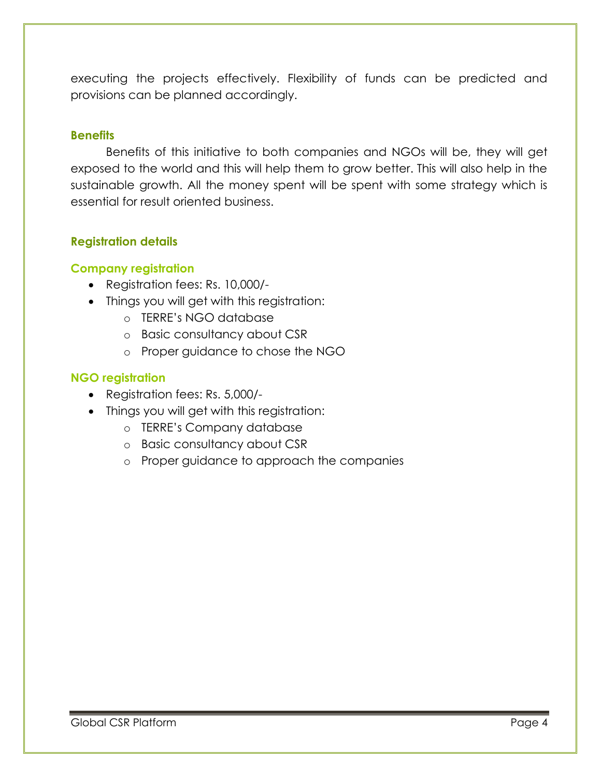executing the projects effectively. Flexibility of funds can be predicted and provisions can be planned accordingly.

#### **Benefits**

Benefits of this initiative to both companies and NGOs will be, they will get exposed to the world and this will help them to grow better. This will also help in the sustainable growth. All the money spent will be spent with some strategy which is essential for result oriented business.

# **Registration details**

# **Company registration**

- Registration fees: Rs. 10,000/-
- Things you will get with this registration:
	- o TERRE's NGO database
	- o Basic consultancy about CSR
	- o Proper guidance to chose the NGO

# **NGO registration**

- Registration fees: Rs. 5,000/-
- Things you will get with this registration:
	- o TERRE's Company database
	- o Basic consultancy about CSR
	- o Proper guidance to approach the companies